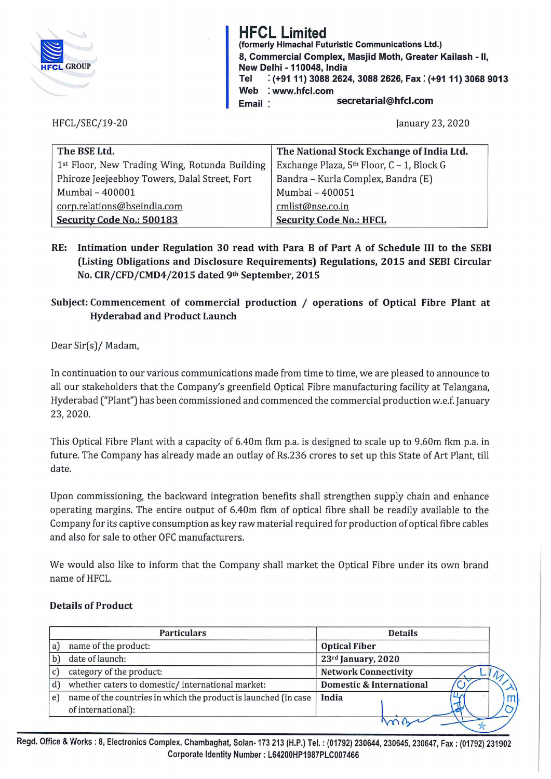

**HFCL Limited**  (formerly Himachal Futuristic Communications Ltd.)  $\mathbb{R}$  8, Commercial Complex, Masjid Moth, Greater Kailash - II,<br>st. GROUP New Delhi - 110048, India<br>Tel : (+91 11) 3088 2624  $:$  (+91 11) 3088 2624, 3088 2626, Fax: (+91 11) 3068 9013 Web : www.hfcl.com Email: secretarial@hfcl.com

## HFCL/SEC/19-20 January 23, 2020

| The BSE Ltd.                                  | The National Stock Exchange of India Ltd. |
|-----------------------------------------------|-------------------------------------------|
| 1st Floor, New Trading Wing, Rotunda Building | Exchange Plaza, 5th Floor, C - 1, Block G |
| Phiroze Jeejeebhoy Towers, Dalal Street, Fort | Bandra - Kurla Complex, Bandra (E)        |
| Mumbai - 400001                               | Mumbai - 400051                           |
| corp.relations@bseindia.com                   | cmlist@nse.co.in                          |
| Security Code No.: 500183                     | <b>Security Code No.: HFCL</b>            |

RE: Intimation under Regulation 30 read with Para B of Part A of Schedule III to the SEBI (Listing Obligations and Disclosure Requirements) Regulations, 2015 and SEBI Circular No. CIR/CFD/CMD4/2015 dated 9th September, 2015

## Subject: Commencement of commercial production / operations of Optical Fibre Plant at Hyderabad and Product Launch

Dear Sir(s)/ Madam,

In continuation to our various communications made from time to time, we are pleased to announce to all our stakeholders that the Company's greenfield Optical Fibre manufacturing facility at Telangana, Hyderabad ("Plant") has been commissioned and commenced the commercial production w.e.f. January 23, 2020.

This Optical Fibre Plant with a capacity of 6.40m fkm p.a. is designed to scale up to 9.60m fkm p.a. in future. The Company has already made an outlay of Rs.236 crores to set up this State of Art Plant, till date.

Upon commissioning, the backward integration benefits shall strengthen supply chain and enhance operating margins. The entire output of 6.40m fkm of optical fibre shall be readily available to the Company for its captive consumption as key raw material required for production ofoptical fibre cables and also for sale to other OFC manufacturers.

We would also like to inform that the Company shall market the Optical Fibre under its own brand name of HFCL.

## Details of Product

| <b>Optical Fiber</b>        |
|-----------------------------|
|                             |
| 23rd January, 2020          |
| <b>Network Connectivity</b> |
| Domestic & International    |
|                             |
|                             |
|                             |